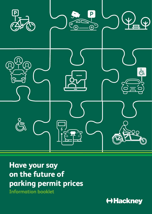

# **Have your say on the future of parking permit prices**

**Information booklet** 

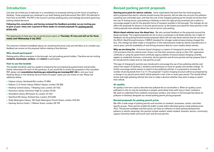# **Introduction**

Last year we invited you to take part in a consultation on proposals setting out the future of parking in Hackney. These proposals are contained in our draft Parking and Enforcement Plan 2021-26 (referred to from here as the PEP). The PEP is the Council's primary parking policy and strategy document governing parking-related decisions.

**Following this consultation, and having reviewed the feedback provided, we are inviting you to give us your views over a period of three weeks on revised proposals for parking permit prices only.**

The opportunity to have your say on permit prices opens on **Thursday 16 June and will run for three weeks until Wednesday 6 July 2022**.

This exercise is limited to feedback about our revised permit prices only and will allow us to consider any feedback we receive on this proposal, before making a final decision.

# **Who should participate?**

Parking policy affects everyone in the borough, not just parking permit holders. Therefore we are inviting **residents, businesses, workers**, and **visitors** to participate.

# **How to use this booklet**

This booklet should be used as a guide to answering the accompanying questionnaire and provides further information for each of the questions. If you would like to review the proposals in the consulted PEP, please visit **consultation.hackney.gov.uk/parking-services/pep2021-26** or visit your local Hackney library or the Hackney Service Centre for paper copies you can review on-site. Please see addresses below:

- Clapton Library, Northwold Rd, London, E5 8RA
- Dalston C.L.R James Library, Dalston Sauare, London, E8 3BO
- Hackney Central Library, 1 Reading Lane, London, E8 1GQ
- Homerton Library, Homerton High St, London, E9 6A
- Shoreditch Library, 80 Hoxton St, London, N1 6LP
- Stamford Hill Library, Portland Ave, London, N16 6SB
- Stoke Newington Library, 184 Stoke Newington Church Street, London, N16 0JL
- Hackney Service Centre, 1 Hillman Street, London, E8 1DY

# **Revised parking permit proposals**

**Starting price point for electric vehicles** - Some respondents fed back that the initial proposals, which proposed that electric vehicles should receive free permits, did not take into account the pollution caused by tyre and brake wear, and that the cost of the cheapest parking permit should not be less than the cost of renting secure cycle parking in Hackney so that the right pricing incentives are in place to encourage people to opt for the greenest forms of transport possible in the borough. The changes do not affect the proposals for doctors or all zone permit prices, as the lowest price band for these permits in the initial proposals were already above the cost of secure cycle parking.

**Which diesel vehicles incur the diesel levy** - We also received feedback on the proposals around the diesel surcharge. The original proposals set out to levy a surcharge on all diesel vehicles, but in light of feedback, we are putting forward revised proposals which will see only diesel vehicles that do not meet the DVLA's Real Driving Emissions 2 (RDE2) standard for nitrogen oxide emissions being charged this levy. This change has been made in recognition of the improvements made by vehicle manufacturers in recent years, and the availability of real driving emissions data for more modern diesel vehicles.

**Why we are doing this** - Emissions-based charging is a system of charging for permits based on the CO2 emissions that the vehicle emits. Drivers can find their emissions rating on their V5C registration certificate or using the government certificate agency website. Emissions-based charging currently applies to residential, business, community, doctors permits and all zone permits and we propose that it be introduced for estate and car club permits as well.

This type of charging for permits was introduced to encourage the use of less polluting vehicles and reduce the impact of Hackney's residents and businesses on local air quality and climate change. To further encourage vehicle owners to switch to less polluting vehicles, it is proposed to increase the number of pricing bands from 5 to 13. The proposed 13-point charging structure will be accompanied by a change in our permit prices which will be phased in over a five or seven-year period. This should afford drivers with high polluting vehicles the time to make a decision whether they want to keep or switch their vehicle.

# **Air quality**

Air quality is the term used to describe how polluted the air we breathe is. When air quality is poor, pollutants in the air may be hazardous to people, particularly those with lung or heart conditions. We want to understand how residents, businesses, workers, and visitors in the borough feel about air pollution in Hackney alongside our revised parking permit pricing proposals.

# **Revised proposals for parking permit prices**

We offer a wide range of parking permits and vouchers to residents, businesses, visitors, and other specific groups. These permits enable the public to park within allocated spaces inside parking zones (PZs). The permits available and their prices can have an influence on both parking demand and patterns in vehicle ownership. Our permits include resident, estate resident, business, doctors, community support (formerly health and social care) and all zone permits.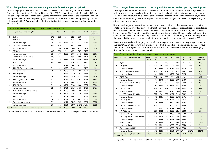#### **What changes have been made to the proposals for resident permit prices?**

The revised proposals set out that electric vehicles will be charged £50 in year 1 of the new PEP, with a £1 per year increase thereafter for the lifespan of this PEP. To maintain a meaningful pricing difference between the pricing bands above band 1, some increases have been made to the prices for bands 2 to 7. The top-end price for the most polluting vehicles remains very similar as what was previously proposed in the consulted PEP. Please see table 1 for the revised emissions-based charging structure for resident parking permits.

|                | Table 1: Revised emissions-based charging structure for resident parking permits |                  |        |             |             |             |        |                            |
|----------------|----------------------------------------------------------------------------------|------------------|--------|-------------|-------------|-------------|--------|----------------------------|
| <b>Band</b>    | Proposed CO2 emissions g/km                                                      | Current<br>price | Year 1 | Year 2      | Year 3      | Year 4      | Year 5 | Change vs<br>current price |
| 1              | 0g/km                                                                            | £10              | £50    | £51         | £52         | £53         | £54    | £44                        |
| $\overline{2}$ | 1-50g/km                                                                         | £63              | £65    | £68         | £71         | £73         | £76    | £14                        |
|                | + diesel surcharge                                                               | £213             | £265   | <b>£318</b> | £371        | £423        | £476   | £264                       |
| $\overline{3}$ | 51-75g/km, or under 125cc*                                                       | £63              | £68    | £74         | £80         | £85         | £91    | £29                        |
|                | + diesel surcharge                                                               | £213             | £268   | £324        | £380        | £435        | £491   | £279                       |
| 4              | 76-90q/km                                                                        | £63              | £71    | €80         | £89         | £97         | £106   | £44                        |
|                | + diesel surcharge                                                               | £213             | £271   | £330        | £389        | £447        | £506   | £294                       |
| 5              | 91-100g/km, or 126 - 400cc*                                                      | £63              | £74    | £86         | £98         | £109        | £121   | £59                        |
|                | + diesel surcharge                                                               | £213             | £274   | £336        | £398        | £459        | £521   | £309                       |
| 6              | 101-110g/km                                                                      | £63              | £77    | £92         | £107        | £121        | £136   | £74                        |
|                | + diesel surcharge                                                               | £213             | £277   | £342        | £407        | £471        | £536   | <b>£324</b>                |
| $\overline{7}$ | 111-130g/km, or 401 - 800cc*                                                     | £115             | £121   | £128        | £134        | £141        | £147   | £32                        |
|                | + diesel surcharge                                                               | £265             | £321   | £378        | £434        | £491        | £547   | £282                       |
| 8              | 131-150g/km                                                                      | £115             | £127   | £138        | £150        | £161        | £173   | £58                        |
|                | + diesel surcharge                                                               | £265             | £327   | £388        | £450        | £511        | £573   | £308                       |
| 9              | 151-170g/km, or 801 - 1200cc*                                                    | £115             | £137   | £159        | £181        | £203        | £225   | £110                       |
|                | + diesel surcharge                                                               | £265             | £337   | £409        | £481        | £553        | £625   | £360                       |
| 10             | 171-190q/km                                                                      | £115             | £158   | £201        | £243        | £286        | £329   | £214                       |
|                | + diesel surcharge                                                               | £265             | £358   | £451        | £543        | £636        | £729   | £464                       |
| 11             | 191-225g/km, or 1201cc-2000cc*                                                   | £167             | £220   | £273        | £327        | £380        | £433   | £266                       |
|                | + diesel surcharge                                                               | £317             | £420   | £523        | £627        | £730        | £833   | <b>£516</b>                |
| 12             | 226-255g/km                                                                      | £219             | £293   | £367        | £441        | £515        | £589   | £370                       |
|                | + diesel surcharge                                                               | £369             | £493   | £617        | £741        | £865        | £989   | <b>£620</b>                |
| 13             | Over 256g/km or 2001cc*                                                          | £219             | £345   | £471        | £597        | £723        | £849   | £630                       |
|                | + diesel surcharge                                                               | £369             | £545   | £721        | £897        | £1,073      | £1,249 | <b>£880</b>                |
|                | Diesel surcharge - except vehicles that meet RDE2*                               | £150             | £200   | £250        | <b>£300</b> | <b>£350</b> | £400   |                            |

\*Proposed that diesel vehicles that meet the DVLA's real-world emissions 2 (RDE2) test be charged the same as petrol vehicles.

# **What changes have been made to the proposals for estate resident parking permit prices?**

The original PEP proposals consulted on last summer/autumn sought to harmonise parking on estates with the on-street emissions-based charging structure, including the introduction of a diesel surcharge over a five-year period. We have listened to the feedback received during the PEP consultation, and are now proposing extending the transition period to make these changes from five to seven years to give drivers more time to adapt.

Due to the changes to the on-street resident permit prices outlined on the previous pages, which the estate permit prices are linked to over the transitionary period, the revised proposals set out that electric vehicles will see a permit price increase of between £2 or £3 per year over the next six years. The fees between bands 2 to 7 have increased to maintain a meaningful pricing difference between bands, with higher bands seeing a minor change equivalent to an additional £1 to £3 per year. The top-end price for the most polluting vehicles remains similar to what was previously proposed in the consulted PEP.

Using an emissions-based charging structure for parking permits will determine the price paid based on a vehicle's CO2 emissions, with a surcharge for diesel vehicles, and encourages vehicle owners to move towards less polluting vehicles over time. Please see table 2 for the revised emissions-based charging structure for estate resident parking permits.

|                | Table 2: Revised emissions-based charging structure for estate resident parking permits |                  |            |                        |                        |                        |             |           |                        |                            |
|----------------|-----------------------------------------------------------------------------------------|------------------|------------|------------------------|------------------------|------------------------|-------------|-----------|------------------------|----------------------------|
| <b>Band</b>    | Proposed CO2 emissions g/km                                                             | Current<br>price | Year<br>1  | Year<br>$\overline{2}$ | Year<br>$\overline{3}$ | Year<br>$\overline{4}$ | Year<br>5   | Year<br>6 | Year<br>$\overline{7}$ | Change vs<br>current price |
| 1              | 0q/km                                                                                   | £39              | £41        | £43                    | £46                    | £48                    | £50         | £52       | £54                    | £15                        |
| $\overline{2}$ | 1-50g/km                                                                                | £39              | £45        | £50                    | £55                    | €60                    | £66         | £71       | £76                    | £37                        |
|                | + diesel surcharge                                                                      | £39              | £102       | £164                   | £226                   | £289                   | £351        | £414      | £476                   | £437                       |
| $\overline{3}$ | 51-75g/km, or under 125cc*                                                              | £39              | £47        | £54                    | <b>£61</b>             | €69                    | <b>£76</b>  | £84       | £91                    | £52                        |
|                | + diesel surcharge                                                                      | £39              | £104       | £168                   | £233                   | £297                   | £362        | £426      | £491                   | £452                       |
| 4              | 76-90q/km                                                                               | £39              | £49        | £58                    | £68                    | £77                    | £87         | £96       | £106                   | £67                        |
|                | + diesel surcharge                                                                      | £39              | £106       | £173                   | £239                   | £306                   | £373        | £439      | £506                   | £467                       |
| 5              | 91-100g/km, or 126 - 400cc*                                                             | £39              | <b>£51</b> | €63                    | £74                    | €86                    | £98         | £109      | £121                   | £82                        |
|                | + diesel surcharge                                                                      | £39              | £108       | £177                   | £246                   | <b>£315</b>            | £383        | £452      | £521                   | £482                       |
| 6              | 101-110g/km                                                                             | £39              | €53        | £67                    | <b>£81</b>             | <b>£95</b>             | £108        | £122      | £136                   | £97                        |
|                | + diesel surcharge                                                                      | £39              | £110       | £181                   | £252                   | £323                   | £394        | £465      | £536                   | £497                       |
| $\overline{7}$ | 111-130g/km, or 401 - 800cc*                                                            | £39              | £55        | £70                    | £85                    | £101                   | £116        | £132      | £147                   | £108                       |
|                | + diesel surcharge                                                                      | £39              | £112       | £184                   | £257                   | £329                   | £402        | £474      | £547                   | <b>£508</b>                |
| 8              | 131-150g/km                                                                             | £39              | £58        | £77                    | £97                    | £116                   | £135        | £154      | £173                   | £134                       |
|                | + diesel surcharge                                                                      | £39              | £116       | £192                   | £268                   | £344                   | £421        | £497      | £573                   | £534                       |
| 9              | 151-170g/km, or 801 - 1200cc*                                                           | £39              | £66        | £92                    | £119                   | £145                   | £172        | £198      | £225                   | £186                       |
|                | + diesel surcharge                                                                      | £39              | £123       | £207                   | £290                   | £374                   | £458        | £541      | £625                   | £586                       |
| 10             | 171-190g/km                                                                             | £39              | €81        | £122                   | £163                   | £205                   | £246        | £288      | £329                   | £290                       |
|                | + diesel surcharge                                                                      | £39              | £138       | £236                   | <b>£335</b>            | £433                   | £532        | £630      | £729                   | <b>£690</b>                |
| 11             | 191-225q/km, or 1201cc-2000cc*                                                          | £39              | €96        | £152                   | £208                   | £264                   | £321        | £377      | £433                   | £394                       |
|                | + diesel surcharge                                                                      | £39              | £153       | £266                   | £379                   | £493                   | £606        | £720      | £833                   | £794                       |
| 12             | 226-255g/km                                                                             | £39              | £118       | £196                   | £275                   | £353                   | £432        | £510      | £589                   | <b>£550</b>                |
|                | + diesel surcharge                                                                      | £39              | £175       | <b>£311</b>            | £446                   | £582                   | £718        | £853      | £989                   | <b>£950</b>                |
| 13             | Over 256g/km or 2001cc*                                                                 | £39              | £155       | £271                   | £386                   | £502                   | <b>£618</b> | £733      | £849                   | <b>£810</b>                |
|                | + diesel surcharge                                                                      | £39              | £212       | £385                   | £558                   | £731                   | £903        | £1,076    | £1,249                 | £1,210                     |
| meet RDE2*     | Diesel surcharge - except vehicles that                                                 | €0               | <b>£57</b> | £114                   | £171                   | £229                   | £286        | £343      | £400                   |                            |

\*Proposed that diesel vehicles that meet the DVLA's real-world emissions 2 (RDE2) test be charged the same as petrol vehicles.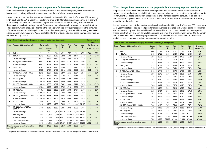#### **What changes have been made to the proposals for business permit prices?**

Plans to remove the higher prices for parking in zones A and B remain in place, which will mean all businesses in Hackney will pay the same price regardless of where they are located.

Revised proposals set out that electric vehicles will be charged £50 in year 1 of the new PEP, increasing by £1 each year to £54 in year five. The starting price of £50 for electric parking permits is in line with what is being proposed for our residents to pay, with the added benefit of being able to add up to three electric vehicles to a single permit. Please note that only one vehicle would be covered at a time. The prices between bands 2 to 13 remain the same as what was previously proposed in the consulted PEP, with some bands including all current permit holders in parking zone A and B receiving a reduced price progressively by year five. Please see table 3 for the revised emissions-based charging structure for business parking permits

| Table 3: Revised emissions-based charging structure for business parking permits |                                         |                      |                    |             |                |                | Change vs current<br>price |        |               |                    |
|----------------------------------------------------------------------------------|-----------------------------------------|----------------------|--------------------|-------------|----------------|----------------|----------------------------|--------|---------------|--------------------|
| <b>Band</b>                                                                      | Proposed CO2 emissions g/km             | <b>Current price</b> |                    | Year        | Year           | Year           | Year                       | Year   | Parking zones |                    |
|                                                                                  |                                         | A & B                | All other<br>zones | 1           | 2 <sup>1</sup> | $\overline{3}$ | $\mathcal{L}_{\mathbf{I}}$ | 5      | A & B         | All other<br>zones |
| 1                                                                                | 0q/km                                   | £21                  | £21                | £50         | £51            | £52            | £53                        | £54    | <b>£33</b>    | £34                |
| $\overline{2}$                                                                   | 1-50g/km                                | £570                 | £287               | £260        | £232           | £205           | £177                       | £150   | $-£420$       | £137               |
|                                                                                  | + diesel surcharge                      | £720                 | £437               | £460        | £482           | £505           | £527                       | £550   | $-£170$       | <b>£113</b>        |
| $\overline{3}$                                                                   | 51-75g/km, or under 125cc*              | £570                 | £287               | £271        | £255           | £239           | £222                       | £206   | $-£364$       | $-E81$             |
|                                                                                  | + diesel surcharge                      | £720                 | £437               | £471        | £505           | £539           | £572                       | €606   | $-£114$       | £169               |
| 4                                                                                | 76-90q/km                               | £570                 | £287               | £275        | £264           | £252           | £240                       | £229   | $-E341$       | $-£58$             |
|                                                                                  | + diesel surcharge                      | £720                 | £437               | £475        | £514           | €552           | €590                       | £629   | $-£91$        | £192               |
| 5                                                                                | 91-100g/km, or 126 - 400cc*             | £570                 | £287               | £282        | £277           | £272           | £267                       | £263   | $-E307$       | $-E24$             |
|                                                                                  | + diesel surcharge                      | £720                 | £437               | £482        | £527           | £572           | £617                       | £663   | $-£57$        | £226               |
| 6                                                                                | 101-110g/km                             | £1140.50             | £287               | £293        | €300           | €306           | <b>£312</b>                | £319   | $-E822$       | <b>£32</b>         |
|                                                                                  | + diesel surcharge                      | £1290.50             | £437               | £493        | £550           | £606           | £662                       | £719   | $-E572$       | £282               |
| $\overline{7}$                                                                   | 111-130g/km, or 401 - 800cc*            | £1140.50             | £553               | £517        | £482           | £446           | £411                       | £375   | $-E766$       | £178               |
|                                                                                  | + diesel surcharge                      | £1290.50             | £703               | £717        | £732           | £746           | £761                       | £775   | $-E516$       | £72                |
| 8                                                                                | 131-150g/km                             | £1140.50             | £553               | £538        | £523           | £508           | £494                       | £479   | $-E662$       | $-E74$             |
|                                                                                  | + diesel surcharge                      | £1290.50             | £703               | £738        | £773           | £808           | £844                       | £879   | $-£412$       | £176               |
| 9                                                                                | 151-170g/km, or 801 - 1200cc*           | £1140.50             | £553               | £558        | £563           | £568           | £573                       | £578   | $-E$ 563      | £25                |
|                                                                                  | + diesel surcharge                      | £1290.50             | £703               | £758        | £813           | £868           | £923                       | £978   | £313          | £275               |
| 10                                                                               | 171-190g/km                             | £1668                | £553               | £599        | £645           | £691           | £737                       | £783   | <b>E885</b>   | <b>£230</b>        |
|                                                                                  | + diesel surcharge                      | £1818                | £703               | £799        | £895           | £991           | £1,087                     | £1,183 | $-E635$       | £480               |
| 11                                                                               | 191-225g/km, or 1201cc-<br>2000cc*      | £1668                | £819               | £852        | £885           | £919           | £952                       | £985   | $-E683$       | £166               |
|                                                                                  | + diesel surcharge                      | £1818                | £969               | £1,052      | £1,135         | £1,219         | £1,302                     | £1,385 | $-E433$       | £416               |
| 12                                                                               | 226-255g/km                             | £1668                | £1,086             | £1,129      | £1,172         | £1,216         | £1,259                     | £1,302 | $-£366$       | £217               |
|                                                                                  | + diesel surcharge                      | £1818                | £1,236             | £1,329      | £1,422         | £1,516         | £1,609                     | £1,702 | $-£116$       | £467               |
| 13                                                                               | Over 256q/km or 2001cc*                 | £1668                | £1,086             | £1,228      | £1,371         | £1,514         | £1,657                     | £1,800 | £132          | £715               |
|                                                                                  | + diesel surcharge                      | £1818                | £1,236             | £1,428      | £1,621         | £1,814         | £2,007                     | £2,200 | £382          | £965               |
| meet RDE2*                                                                       | Diesel surcharge - except vehicles that | £150                 | £150               | <b>£200</b> | <b>£250</b>    | €300           | €350                       | £400   |               |                    |

\*Proposed that diesel vehicles that meet the DVLA's real-world emissions 2 (RDE2) test be charged the same as petrol vehicles.

# **What changes have been made to the proposals for Community support permit prices?**

Proposals are still in place to replace the existing health and social care permit with a community support permit and extend its eligibility to cover more organisations and charities that provide essential community-based care and support to residents in their homes across the borough. To be eligible for the permit the applicant would have to spend at least 30% of their time in the community, providing essential care-based services.

Revised proposals set out that electric vehicles will be charged £50 in year 1 of the new PEP, increasing £1 a year thereafter. The proposed price for electric vehicles is aligned with what is being proposed for our residents to pay, with the added benefit of being able to add up to three vehicles to one permit. Please note that only one vehicle would be covered at a time. The prices between bands 2 to 13 remain the same as what was previously proposed in the consulted PEP. Please see table 4 for the revised emissions-based charging structure for community support permits.

|                | Table 4: Revised emissions-based charging structure for community support permits |                  |                      |                        |                        |                        |                        |                            |
|----------------|-----------------------------------------------------------------------------------|------------------|----------------------|------------------------|------------------------|------------------------|------------------------|----------------------------|
| <b>Band</b>    | Proposed CO2 emissions g/km                                                       | Current<br>price | Year<br>$\mathbf{1}$ | Year<br>2 <sup>1</sup> | Year<br>3 <sup>1</sup> | Year<br>$\overline{4}$ | Year<br>5 <sup>1</sup> | Change vs<br>current price |
| $\mathbf{1}$   | 0g/km                                                                             | £21              | £50                  | £51                    | £52                    | £53                    | £54                    | £34                        |
| $\overline{2}$ | 1-50g/km                                                                          | £128             | £128                 | £128                   | £128                   | £128                   | £128                   | £0                         |
|                | + diesel surcharge                                                                | £278             | £328                 | £378                   | £428                   | £478                   | £528                   | £250                       |
| $\overline{3}$ | 51-75g/km, or under 125cc*                                                        | £128             | £135                 | £143                   | £150                   | £157                   | £165                   | £37                        |
|                | + diesel surcharge                                                                | £278             | £335                 | £393                   | £450                   | £507                   | £565                   | £287                       |
| 4              | 76-90q/km                                                                         | £128             | £138                 | £148                   | £159                   | £169                   | £179                   | £51                        |
|                | + diesel surcharge                                                                | £278             | £338                 | £398                   | £459                   | £519                   | £579                   | <b>£301</b>                |
| 5              | 91-100g/km, or 126 - 400cc*                                                       | £128             | £143                 | £157                   | £172                   | £186                   | £201                   | £73                        |
|                | + diesel surcharge                                                                | £278             | £343                 | £407                   | £472                   | £536                   | £601                   | <b>£323</b>                |
| 6              | 101-110g/km                                                                       | £128             | £150                 | £172                   | £194                   | £216                   | £238                   | £110                       |
|                | + diesel surcharge                                                                | £278             | £350                 | £422                   | £494                   | £566                   | £638                   | <b>£360</b>                |
| $\overline{7}$ | 111-130g/km, or 401 - 800cc*                                                      | £278             | £277                 | £276                   | £276                   | £275                   | £274                   | $-f4$                      |
|                | + diesel surcharge                                                                | £428             | £477                 | £526                   | £576                   | £625                   | £674                   | £246                       |
| 8              | 131-150g/km                                                                       | £278             | £291                 | £303                   | £316                   | £329                   | £342                   | £64                        |
|                | + diesel surcharge                                                                | £428             | £491                 | £553                   | £616                   | £679                   | £742                   | £314                       |
| 9              | 151-170g/km, or 801 - 1200cc*                                                     | £278             | £304                 | £329                   | £355                   | £380                   | £406                   | £128                       |
|                | + diesel surcharge                                                                | £428             | £504                 | £579                   | £655                   | £730                   | £806                   | <b>£378</b>                |
| 10             | 171-190g/km                                                                       | £278             | £330                 | £382                   | £435                   | £487                   | £539                   | £261                       |
|                | + diesel surcharge                                                                | £428             | £530                 | £632                   | £735                   | £837                   | £939                   | <b>£511</b>                |
| 11             | 191-225q/km, or 1201cc-2000cc*                                                    | £343             | £409                 | £474                   | £540                   | £605                   | £671                   | <b>£328</b>                |
|                | + diesel surcharge                                                                | £493             | £609                 | £724                   | £840                   | £955                   | £1,071                 | £578                       |
| 12             | 226-255g/km                                                                       | £451             | £536                 | £621                   | £706                   | £791                   | £877                   | £426                       |
|                | + diesel surcharge                                                                | £601             | £736                 | £871                   | £1,006                 | £1,141                 | £1,277                 | <b>£676</b>                |
| 13             | Over 256g/km or 2001cc*                                                           | £451             | £600                 | £750                   | €900                   | £1,050                 | £1,200                 | £750                       |
|                | + diesel surcharge                                                                | £601             | £800                 | £1,000                 | £1,200                 | £1,400                 | £1,600                 | £1,000                     |
| RDE2*          | Diesel surcharge - except vehicles that meet                                      | £150             | £200                 | £250                   | <b>£300</b>            | <b>£350</b>            | £400                   |                            |

\*Proposed that diesel vehicles that meet the DVLA's real-world emissions 2 (RDE2) test be charged the same as petrol vehicles.